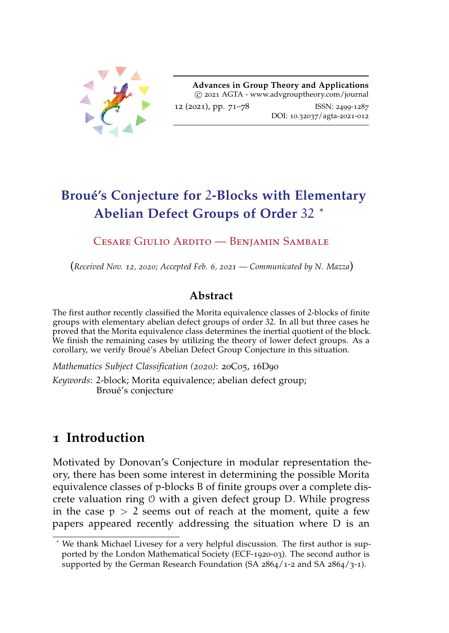<span id="page-0-0"></span>

**Advances in Group Theory and Applications** c 2021 AGTA - www.advgrouptheory.com/journal 12 (2021), pp. [71](#page-0-0)–[78](#page-7-0) ISSN: 2499-1287 DOI: 10.32037/agta-2021-012

# <span id="page-0-3"></span><span id="page-0-2"></span>**Broué's Conjecture for** 2**-Blocks with Elementary Abelian Defect Groups of Order** 32 **[\\*](#page-0-1)**

#### Cesare Giulio Ardito — Benjamin Sambale

(*Received Nov. 12, 2020; Accepted Feb. 6, 2021 — Communicated by N. Mazza*)

### **Abstract**

The first author recently classified the Morita equivalence classes of 2-blocks of finite groups with elementary abelian defect groups of order 32. In all but three cases he proved that the Morita equivalence class determines the inertial quotient of the block. We finish the remaining cases by utilizing the theory of lower defect groups. As a corollary, we verify Broué's Abelian Defect Group Conjecture in this situation.

*Mathematics Subject Classification (2020)*: 20C05, 16D90

*Keywords*: 2-block; Morita equivalence; abelian defect group; Broué's conjecture

## **1 Introduction**

Motivated by Donovan's Conjecture in modular representation theory, there has been some interest in determining the possible Morita equivalence classes of p-blocks B of finite groups over a complete discrete valuation ring O with a given defect group D. While progress in the case  $p > 2$  seems out of reach at the moment, quite a few papers appeared recently addressing the situation where D is an

<span id="page-0-1"></span><sup>\*</sup> We thank Michael Livesey for a very helpful discussion. The first author is supported by the London Mathematical Society (ECF-1920-03). The second author is supported by the German Research Foundation (SA 2864/1-2 and SA 2864/3-1).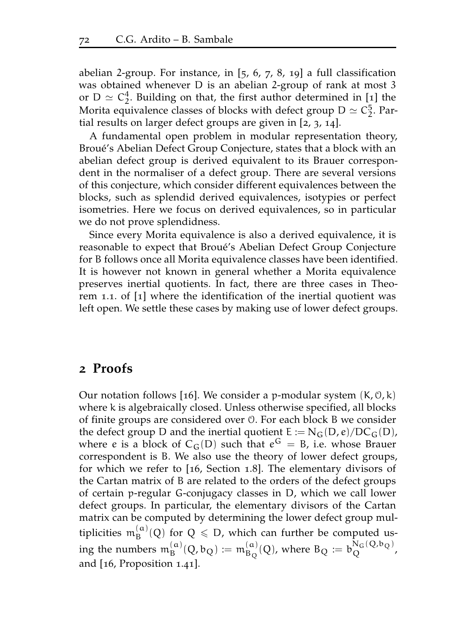abelian 2-group. For instance, in  $[5, 6, 7, 8, 19]$  $[5, 6, 7, 8, 19]$  $[5, 6, 7, 8, 19]$  $[5, 6, 7, 8, 19]$  $[5, 6, 7, 8, 19]$  $[5, 6, 7, 8, 19]$  $[5, 6, 7, 8, 19]$  $[5, 6, 7, 8, 19]$  $[5, 6, 7, 8, 19]$  $[5, 6, 7, 8, 19]$  $[5, 6, 7, 8, 19]$  a full classification was obtained whenever D is an abelian 2-group of rank at most 3 or  $D \simeq C_2^4$ . Building on that, the first author determined in [[1](#page-5-0)] the Morita equivalence classes of blocks with defect group  $D \simeq C_2^5$ . Partial results on larger defect groups are given in [[2](#page-5-1), [3](#page-5-2), [14](#page-6-5)].

A fundamental open problem in modular representation theory, Broué's Abelian Defect Group Conjecture, states that a block with an abelian defect group is derived equivalent to its Brauer correspondent in the normaliser of a defect group. There are several versions of this conjecture, which consider different equivalences between the blocks, such as splendid derived equivalences, isotypies or perfect isometries. Here we focus on derived equivalences, so in particular we do not prove splendidness.

Since every Morita equivalence is also a derived equivalence, it is reasonable to expect that Broué's Abelian Defect Group Conjecture for B follows once all Morita equivalence classes have been identified. It is however not known in general whether a Morita equivalence preserves inertial quotients. In fact, there are three cases in Theorem 1.1. of [[1](#page-5-0)] where the identification of the inertial quotient was left open. We settle these cases by making use of lower defect groups.

### **2 Proofs**

Our notation follows [[16](#page-6-6)]. We consider a p-modular system  $(K, 0, k)$ where k is algebraically closed. Unless otherwise specified, all blocks of finite groups are considered over O. For each block B we consider the defect group D and the inertial quotient  $E := N_G(D, e)/DC_G(D)$ , where e is a block of  $C_G(D)$  such that  $e^G = B$ , i.e. whose Brauer correspondent is B. We also use the theory of lower defect groups, for which we refer to [[16](#page-6-6), Section 1.8]. The elementary divisors of the Cartan matrix of B are related to the orders of the defect groups of certain p-regular G-conjugacy classes in D, which we call lower defect groups. In particular, the elementary divisors of the Cartan matrix can be computed by determining the lower defect group multiplicities  $m_B^{(\alpha)}(Q)$  for  $Q \leq D$ , which can further be computed using the numbers  $\mathfrak{m}_{\mathrm{B}}^{(\mathfrak{a})}(\mathrm{Q},\mathfrak{b}_\mathrm{Q})\coloneqq\mathfrak{m}_{\mathrm{B}_\mathrm{Q}}^{(\mathfrak{a})}(\mathrm{Q})$ , where  $\mathrm{B}_\mathrm{Q}\coloneqq\mathfrak{b}_\mathrm{Q}^{\mathrm{N}_\mathrm{G}(\mathrm{Q},\mathfrak{b}_\mathrm{Q})}$ , and [[16](#page-6-6), Proposition 1.41].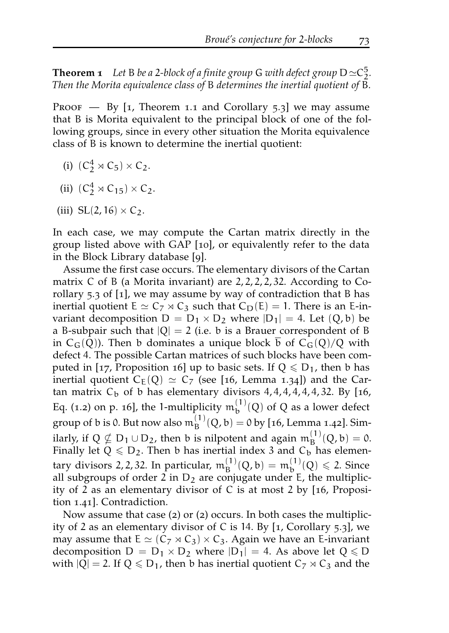**Theorem 1** Let B be a 2-block of a finite group G with defect group  $D \simeq C_2^5$ . *Then the Morita equivalence class of* B *determines the inertial quotient of* B*.*

PROOF  $-$  By [[1](#page-5-0), Theorem 1.1 and Corollary 5.3] we may assume that B is Morita equivalent to the principal block of one of the following groups, since in every other situation the Morita equivalence class of B is known to determine the inertial quotient:

- (i)  $(C_2^4 \rtimes C_5) \times C_2$ .
- (ii)  $(C_2^4 \rtimes C_{15}) \times C_2$ .
- (iii)  $SL(2, 16) \times C_2$ .

In each case, we may compute the Cartan matrix directly in the group listed above with GAP [[10](#page-6-7)], or equivalently refer to the data in the Block Library database [[9](#page-6-8)].

Assume the first case occurs. The elementary divisors of the Cartan matrix C of B (a Morita invariant) are 2, 2, 2, 2, 32. According to Corollary 5.3 of [[1](#page-5-0)], we may assume by way of contradiction that B has inertial quotient  $E \simeq C_7 \rtimes C_3$  such that  $C_D(E) = 1$ . There is an E-invariant decomposition  $D = D_1 \times D_2$  where  $|D_1| = 4$ . Let  $(Q, b)$  be a B-subpair such that  $|Q| = 2$  (i.e. b is a Brauer correspondent of B in  $C_G(Q)$ ). Then b dominates a unique block b of  $C_G(Q)/Q$  with defect 4. The possible Cartan matrices of such blocks have been com-puted in [[17](#page-6-9), Proposition 16] up to basic sets. If  $Q \le D_1$ , then b has inertial quotient  $C_E(Q) \simeq C_7$  (see [[16](#page-6-6), Lemma 1.34]) and the Cartan matrix  $C_b$  of b has elementary divisors  $4, 4, 4, 4, 4, 4, 32$ . By [[16](#page-6-6), Eq. (1.2) on p. 16], the 1-multiplicity  $m_b^{(1)}(Q)$  of Q as a lower defect group of b is 0. But now also  $m_B^{(1)}(Q, b) = 0$  by [[16](#page-6-6), Lemma 1.42]. Similarly, if  $Q \nsubseteq D_1 \cup D_2$ , then b is nilpotent and again  $m_B^{(1)}(Q, b) = 0$ . Finally let  $Q \le D_2$ . Then b has inertial index 3 and  $C_b$  has elementary divisors 2, 2, 32. In particular,  $m_B^{(1)}(Q, b) = m_b^{(1)}(Q) \le 2$ . Since all subgroups of order 2 in  $D_2$  are conjugate under E, the multiplicity of 2 as an elementary divisor of C is at most 2 by [[16](#page-6-6), Proposition 1.41]. Contradiction.

Now assume that case ([2](#page-0-2)) or ([2](#page-0-2)) occurs. In both cases the multiplicity of 2 as an elementary divisor of C is 14. By [[1](#page-5-0), Corollary 5.3], we may assume that  $E \simeq (C_7 \rtimes C_3) \times C_3$ . Again we have an E-invariant decomposition  $D = D_1 \times D_2$  where  $|D_1| = 4$ . As above let  $Q \le D$ with  $|Q| = 2$ . If  $Q \le D_1$ , then b has inertial quotient  $C_7 \rtimes C_3$  and the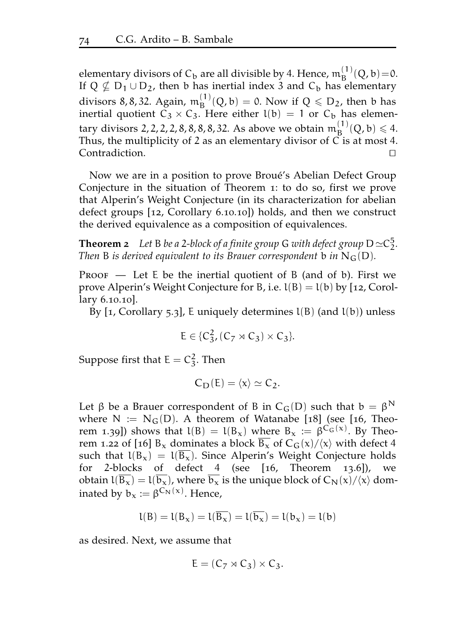elementary divisors of  $C_b$  are all divisible by 4. Hence,  $m_B^{(1)}(Q, b) = 0$ . If  $Q \nsubseteq D_1 \cup D_2$ , then b has inertial index 3 and  $C_b$  has elementary divisors 8, 8, 32. Again,  $m_B^{(1)}(Q, b) = 0$ . Now if  $Q \leq D_2$ , then b has inertial quotient  $C_3 \times C_3$ . Here either  $l(b) = 1$  or  $C_b$  has elementary divisors 2, 2, 2, 2, 8, 8, 8, 32. As above we obtain  $m_B^{(1)}(Q, b) \leq 4$ . Thus, the multiplicity of 2 as an elementary divisor of  $\overline{C}$  is at most 4.  $Control$ :  $\Box$ 

Now we are in a position to prove Broué's Abelian Defect Group Conjecture in the situation of Theorem [1](#page-0-2): to do so, first we prove that Alperin's Weight Conjecture (in its characterization for abelian defect groups [[12](#page-6-10), Corollary 6.10.10]) holds, and then we construct the derived equivalence as a composition of equivalences.

**Theorem 2** *Let* B *be a* 2*-block of a finite group* G *with defect group*  $D \simeq C_2^5$ *. Then* B *is derived equivalent to its Brauer correspondent* b *in*  $N_G(D)$ *.* 

**PROOF** — Let  $E$  be the inertial quotient of  $B$  (and of b). First we prove Alperin's Weight Conjecture for B, i.e.  $l(B) = l(b)$  by [[12](#page-6-10), Corollary 6.10.10].

By  $\lceil 1$  $\lceil 1$ , Corollary 5.3], E uniquely determines  $l(B)$  (and  $l(b)$ ) unless

$$
E \in \{C_3^2, (C_7 \rtimes C_3) \times C_3\}.
$$

Suppose first that  $E = C_3^2$ . Then

$$
C_{\mathbf{D}}(E) = \langle x \rangle \simeq C_2.
$$

Let  $\beta$  be a Brauer correspondent of B in C<sub>G</sub>(D) such that  $b = \beta^N$ where  $N := N_G(D)$ . A theorem of Watanabe [[18](#page-6-11)] (see [[16](#page-6-6), Theorem 1.39]) shows that  $l(B) = l(B_x)$  where  $B_x := \beta^{C_G(x)}$ . By Theo-rem 1.22 of [[16](#page-6-6)]  $B_x$  dominates a block  $B_x$  of  $C_G(x)/\langle x \rangle$  with defect 4 such that  $l(B_x) = l(\overline{B_x})$ . Since Alperin's Weight Conjecture holds for 2-blocks of defect 4 (see [[16](#page-6-6), Theorem 13.6]), we obtain  $l(\overline{B_x}) = l(\overline{b_x})$ , where  $\overline{b_x}$  is the unique block of  $C_N(x)/\langle x \rangle$  dominated by  $b_x := \beta^{C_N(x)}$ . Hence,

$$
l(B) = l(B_x) = l(\overline{B_x}) = l(\overline{b_x}) = l(b_x) = l(b)
$$

as desired. Next, we assume that

$$
E=(C_7\rtimes C_3)\times C_3.
$$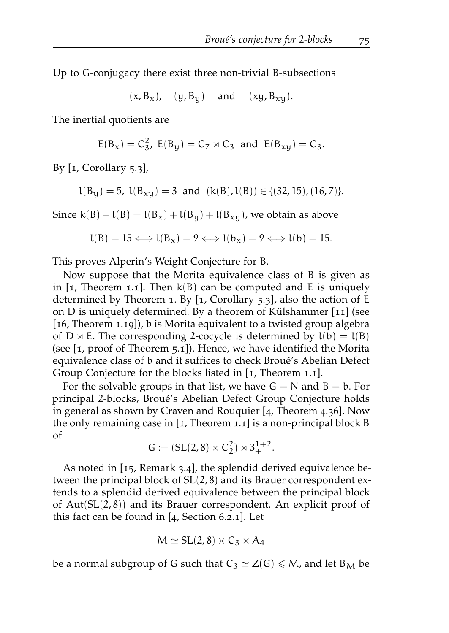Up to G-conjugacy there exist three non-trivial B-subsections

 $(x, B_x)$ ,  $(y, B_y)$  and  $(xy, B_{xy})$ .

The inertial quotients are

$$
E(B_x) = C_3^2
$$
,  $E(B_y) = C_7 \rtimes C_3$  and  $E(B_{xy}) = C_3$ .

By  $[1,$  $[1,$  $[1,$  Corollary  $5.3$ ],

 $l(B_y) = 5$ ,  $l(B_{xy}) = 3$  and  $(k(B), l(B)) \in \{(32, 15), (16, 7)\}.$ 

Since  $k(B) - l(B) = l(B_x) + l(B_y) + l(B_{xy})$ , we obtain as above

$$
l(B) = 15 \Longleftrightarrow l(B_x) = 9 \Longleftrightarrow l(b_x) = 9 \Longleftrightarrow l(b) = 15.
$$

This proves Alperin's Weight Conjecture for B.

Now suppose that the Morita equivalence class of B is given as in  $\lceil$ [1](#page-5-0), Theorem 1.1. Then  $k(B)$  can be computed and E is uniquely determined by Theorem [1](#page-0-2). By [[1](#page-5-0), Corollary 5.3], also the action of E on D is uniquely determined. By a theorem of Külshammer [[11](#page-6-12)] (see [[16](#page-6-6), Theorem 1.19]), b is Morita equivalent to a twisted group algebra of D  $\times$  E. The corresponding 2-cocycle is determined by  $l(b) = l(B)$ (see [[1](#page-5-0), proof of Theorem 5.1]). Hence, we have identified the Morita equivalence class of b and it suffices to check Broué's Abelian Defect Group Conjecture for the blocks listed in [[1](#page-5-0), Theorem 1.1].

For the solvable groups in that list, we have  $G = N$  and  $B = b$ . For principal 2-blocks, Broué's Abelian Defect Group Conjecture holds in general as shown by Craven and Rouquier [[4](#page-6-13), Theorem 4.36]. Now the only remaining case in [[1](#page-5-0), Theorem 1.1] is a non-principal block B of

$$
G := (SL(2,8) \times C_2^2) \rtimes 3_+^{1+2}.
$$

As noted in [[15](#page-6-14), Remark 3.4], the splendid derived equivalence between the principal block of SL(2, 8) and its Brauer correspondent extends to a splendid derived equivalence between the principal block of  $Aut(SL(2,8))$  and its Brauer correspondent. An explicit proof of this fact can be found in [[4](#page-6-13), Section 6.2.1]. Let

$$
M \simeq SL(2,8) \times C_3 \times A_4
$$

be a normal subgroup of G such that  $C_3 \simeq Z(G) \leq M$ , and let B<sub>M</sub> be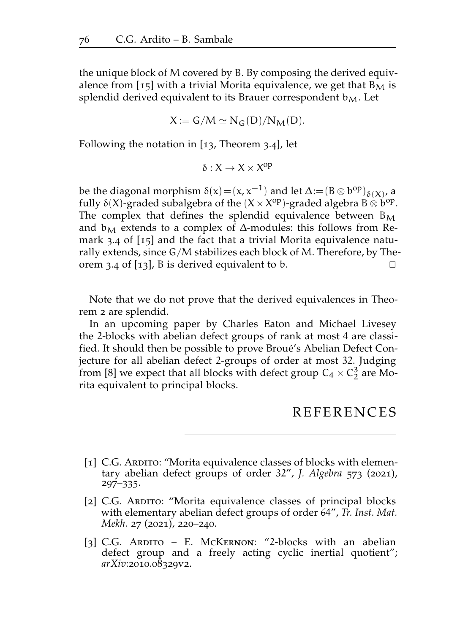the unique block of M covered by B. By composing the derived equiv-alence from [[15](#page-6-14)] with a trivial Morita equivalence, we get that  $B_M$  is splendid derived equivalent to its Brauer correspondent  $b_M$ . Let

$$
X := G/M \simeq N_G(D)/N_M(D).
$$

Following the notation in [[13](#page-6-15), Theorem 3.4], let

$$
\delta:X\to X\times X^{op}
$$

be the diagonal morphism  $\delta(x) = (x, x^{-1})$  and let  $\Delta := (B \otimes b^{\text{op}})_{\delta(x)}$ , a fully  $\delta(X)$ -graded subalgebra of the  $(X \times X^{op})$ -graded algebra B  $\otimes$  b<sup>op</sup>. The complex that defines the splendid equivalence between  $B_M$ and  $b_M$  extends to a complex of  $\Delta$ -modules: this follows from Remark 3.4 of [[15](#page-6-14)] and the fact that a trivial Morita equivalence naturally extends, since G/M stabilizes each block of M. Therefore, by The-orem 3.4 of [[13](#page-6-15)], B is derived equivalent to b.  $\Box$ 

Note that we do not prove that the derived equivalences in Theorem [2](#page-0-3) are splendid.

In an upcoming paper by Charles Eaton and Michael Livesey the 2-blocks with abelian defect groups of rank at most 4 are classified. It should then be possible to prove Broué's Abelian Defect Conjecture for all abelian defect 2-groups of order at most 32. Judging from [[8](#page-6-3)] we expect that all blocks with defect group  $C_4 \times C_2^3$  are Morita equivalent to principal blocks.

### REFERENCES

- <span id="page-5-0"></span>[1] C.G. Aradito: "Morita equivalence classes of blocks with elementary abelian defect groups of order 32", *J. Algebra* 573 (2021), 297–335.
- <span id="page-5-1"></span>[2] C.G. Ardito: "Morita equivalence classes of principal blocks with elementary abelian defect groups of order 64", *Tr. Inst. Mat. Mekh.* 27 (2021), 220–240.
- <span id="page-5-2"></span>[3] C.G. ARDITO – E. McKERNON: "2-blocks with an abelian defect group and a freely acting cyclic inertial quotient"; *arXiv*:2010.08329v2.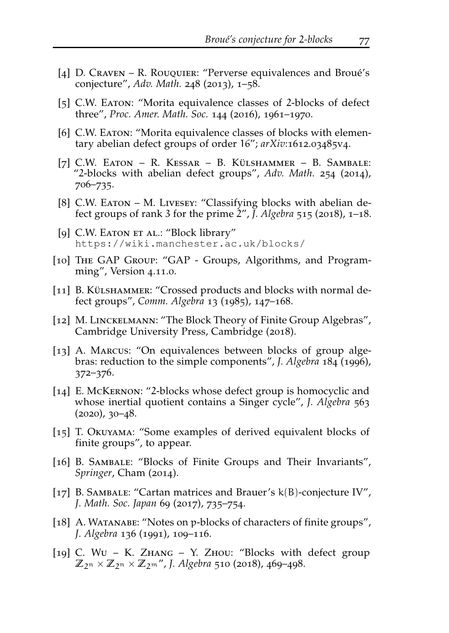- <span id="page-6-13"></span>[4] D. Craven – R. Rouquier: "Perverse equivalences and Broué's conjecture", *Adv. Math.* 248 (2013), 1–58.
- <span id="page-6-0"></span>[5] C.W. EATON: "Morita equivalence classes of 2-blocks of defect three", *Proc. Amer. Math. Soc.* 144 (2016), 1961–1970.
- <span id="page-6-1"></span>[6] C.W. Earon: "Morita equivalence classes of blocks with elementary abelian defect groups of order 16"; *arXiv*:1612.03485v4.
- <span id="page-6-2"></span>[7] C.W. Eaton – R. Kessar – B. Külshammer – B. Sambale: "2-blocks with abelian defect groups", *Adv. Math.* 254 (2014), 706–735.
- <span id="page-6-3"></span>[8] C.W. EATON – M. LIVESEY: "Classifying blocks with abelian defect groups of rank 3 for the prime  $2^{\prime\prime}$ ,  $\tilde{J}$ . Algebra 515 (2018), 1–18.
- <span id="page-6-8"></span>[9] C.W. EATON ET AL.: "Block library" <https://wiki.manchester.ac.uk/blocks/>
- <span id="page-6-7"></span>[10] The GAP Group: "GAP - Groups, Algorithms, and Programming", Version 4.11.0.
- <span id="page-6-12"></span>[11] B. KÜLSHAMMER: "Crossed products and blocks with normal defect groups", *Comm. Algebra* 13 (1985), 147–168.
- <span id="page-6-10"></span>[12] M. LINCKELMANN: "The Block Theory of Finite Group Algebras", Cambridge University Press, Cambridge (2018).
- <span id="page-6-15"></span>[13] A. MARCUS: "On equivalences between blocks of group algebras: reduction to the simple components", *J. Algebra* 184 (1996), 372–376.
- <span id="page-6-5"></span>[14] E. McKERNON: "2-blocks whose defect group is homocyclic and whose inertial quotient contains a Singer cycle", *J. Algebra* 563  $(2020)$ ,  $30-48$ .
- <span id="page-6-14"></span>[15] T. OKUYAMA: "Some examples of derived equivalent blocks of finite groups", to appear.
- <span id="page-6-6"></span>[16] B. SAMBALE: "Blocks of Finite Groups and Their Invariants", *Springer*, Cham (2014).
- <span id="page-6-9"></span>[17] B. SAMBALE: "Cartan matrices and Brauer's  $k(B)$ -conjecture IV", *J. Math. Soc. Japan* 69 (2017), 735–754.
- <span id="page-6-11"></span>[18] A. WATANABE: "Notes on p-blocks of characters of finite groups", *J. Algebra* 136 (1991), 109–116.
- <span id="page-6-4"></span>[19] C. Wu – K. ZHANG – Y. ZHOU: "Blocks with defect group  $\mathbb{Z}_{2^n} \times \mathbb{Z}_{2^n} \times \mathbb{Z}_{2^m}$ ", *J. Algebra* 510 (2018), 469–498.